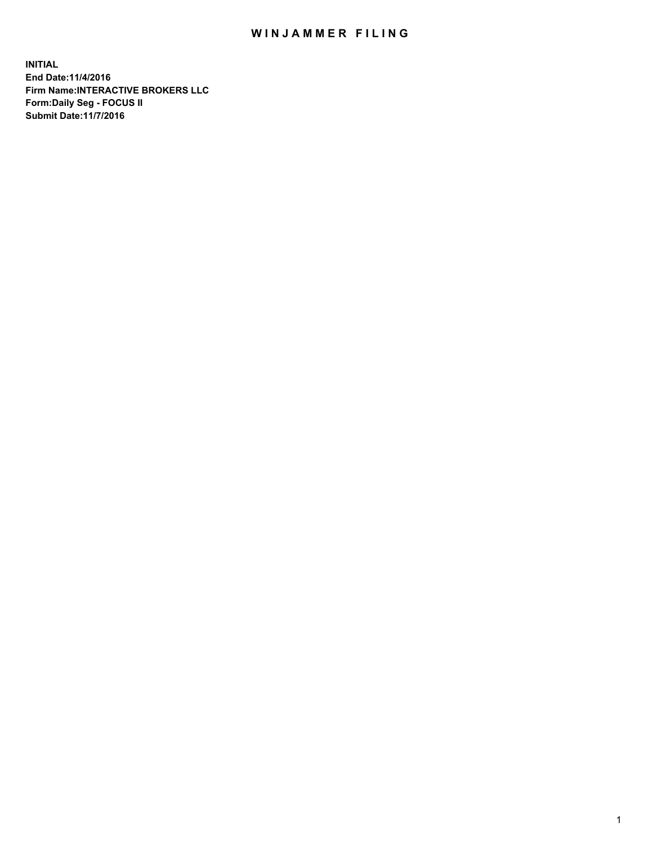## WIN JAMMER FILING

**INITIAL End Date:11/4/2016 Firm Name:INTERACTIVE BROKERS LLC Form:Daily Seg - FOCUS II Submit Date:11/7/2016**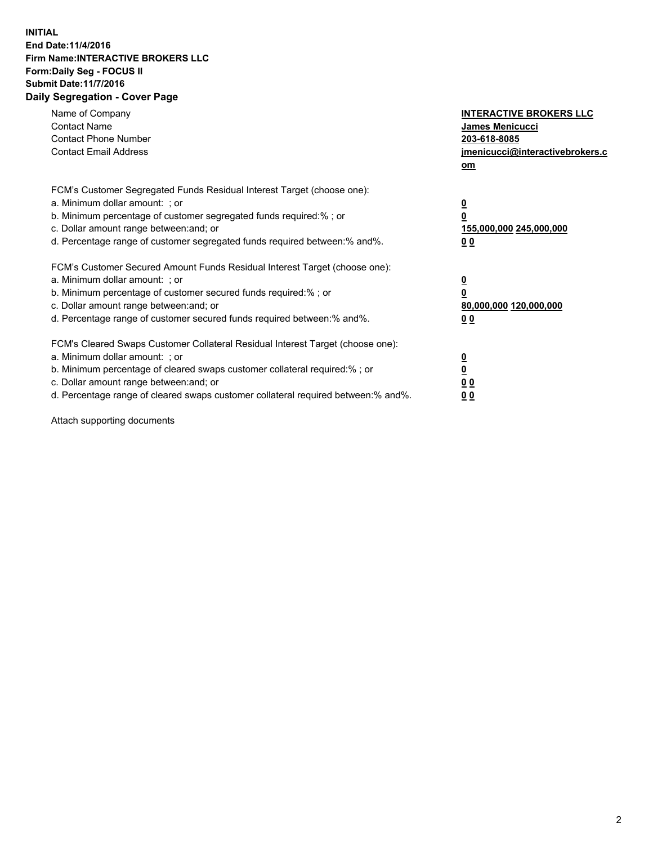## **INITIAL End Date:11/4/2016 Firm Name:INTERACTIVE BROKERS LLC Form:Daily Seg - FOCUS II Submit Date:11/7/2016 Daily Segregation - Cover Page**

| Name of Company<br><b>Contact Name</b><br><b>Contact Phone Number</b><br><b>Contact Email Address</b>                                                                                                                                                                                                                          | <b>INTERACTIVE BROKERS LLC</b><br><b>James Menicucci</b><br>203-618-8085<br>jmenicucci@interactivebrokers.c<br>om |
|--------------------------------------------------------------------------------------------------------------------------------------------------------------------------------------------------------------------------------------------------------------------------------------------------------------------------------|-------------------------------------------------------------------------------------------------------------------|
| FCM's Customer Segregated Funds Residual Interest Target (choose one):<br>a. Minimum dollar amount: ; or<br>b. Minimum percentage of customer segregated funds required:%; or<br>c. Dollar amount range between: and; or<br>d. Percentage range of customer segregated funds required between:% and%.                          | $\overline{\mathbf{0}}$<br>0<br>155,000,000 245,000,000<br>0 <sub>0</sub>                                         |
| FCM's Customer Secured Amount Funds Residual Interest Target (choose one):<br>a. Minimum dollar amount: ; or<br>b. Minimum percentage of customer secured funds required:%; or<br>c. Dollar amount range between: and; or<br>d. Percentage range of customer secured funds required between: % and %.                          | $\overline{\mathbf{0}}$<br>0<br>80,000,000 120,000,000<br>00                                                      |
| FCM's Cleared Swaps Customer Collateral Residual Interest Target (choose one):<br>a. Minimum dollar amount: ; or<br>b. Minimum percentage of cleared swaps customer collateral required:% ; or<br>c. Dollar amount range between: and; or<br>d. Percentage range of cleared swaps customer collateral required between:% and%. | $\overline{\mathbf{0}}$<br>$\overline{\mathbf{0}}$<br>0 <sub>0</sub><br><u>00</u>                                 |

Attach supporting documents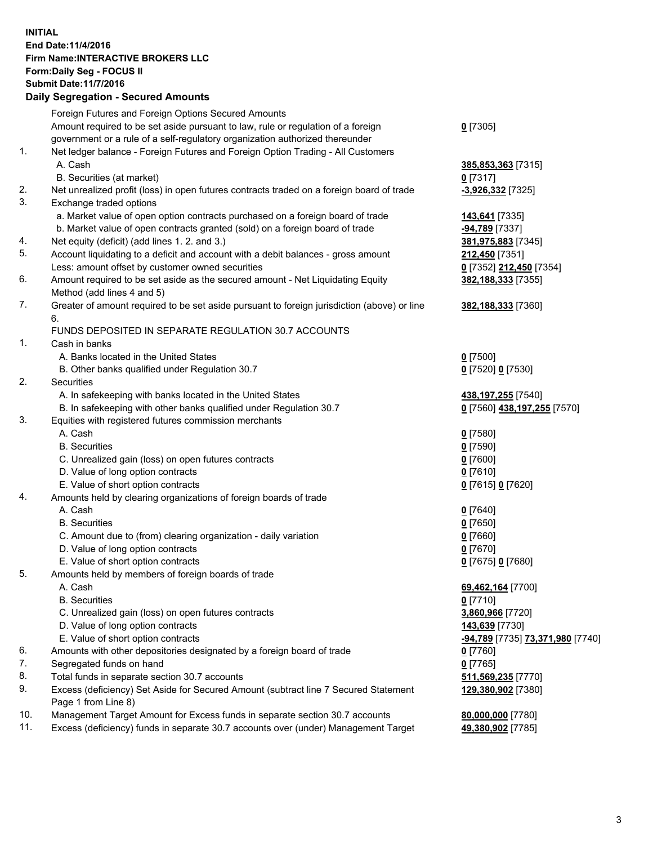## **INITIAL End Date:11/4/2016 Firm Name:INTERACTIVE BROKERS LLC Form:Daily Seg - FOCUS II Submit Date:11/7/2016 Daily Segregation - Secured Amounts**

|     | Daily Jegiegation - Jeculed Alliounts                                                                      |                                  |
|-----|------------------------------------------------------------------------------------------------------------|----------------------------------|
|     | Foreign Futures and Foreign Options Secured Amounts                                                        |                                  |
|     | Amount required to be set aside pursuant to law, rule or regulation of a foreign                           | $0$ [7305]                       |
|     | government or a rule of a self-regulatory organization authorized thereunder                               |                                  |
| 1.  | Net ledger balance - Foreign Futures and Foreign Option Trading - All Customers                            |                                  |
|     | A. Cash                                                                                                    | 385,853,363 [7315]               |
|     | B. Securities (at market)                                                                                  | $0$ [7317]                       |
| 2.  | Net unrealized profit (loss) in open futures contracts traded on a foreign board of trade                  | $-3,926,332$ [7325]              |
| 3.  | Exchange traded options                                                                                    |                                  |
|     | a. Market value of open option contracts purchased on a foreign board of trade                             | 143,641 [7335]                   |
|     | b. Market value of open contracts granted (sold) on a foreign board of trade                               | -94,789 [7337]                   |
| 4.  | Net equity (deficit) (add lines 1. 2. and 3.)                                                              | 381,975,883 [7345]               |
| 5.  | Account liquidating to a deficit and account with a debit balances - gross amount                          | 212,450 [7351]                   |
|     | Less: amount offset by customer owned securities                                                           | 0 [7352] 212,450 [7354]          |
| 6.  | Amount required to be set aside as the secured amount - Net Liquidating Equity                             | 382,188,333 [7355]               |
|     | Method (add lines 4 and 5)                                                                                 |                                  |
| 7.  | Greater of amount required to be set aside pursuant to foreign jurisdiction (above) or line                | 382,188,333 [7360]               |
|     | 6.                                                                                                         |                                  |
|     | FUNDS DEPOSITED IN SEPARATE REGULATION 30.7 ACCOUNTS                                                       |                                  |
| 1.  | Cash in banks                                                                                              |                                  |
|     | A. Banks located in the United States                                                                      | $0$ [7500]                       |
|     | B. Other banks qualified under Regulation 30.7                                                             | 0 [7520] 0 [7530]                |
| 2.  | Securities                                                                                                 |                                  |
|     | A. In safekeeping with banks located in the United States                                                  | 438,197,255 [7540]               |
|     | B. In safekeeping with other banks qualified under Regulation 30.7                                         | 0 [7560] 438,197,255 [7570]      |
| 3.  | Equities with registered futures commission merchants                                                      |                                  |
|     | A. Cash                                                                                                    | $0$ [7580]                       |
|     | <b>B.</b> Securities                                                                                       | $0$ [7590]                       |
|     | C. Unrealized gain (loss) on open futures contracts                                                        | $0$ [7600]                       |
|     | D. Value of long option contracts                                                                          | $0$ [7610]                       |
|     | E. Value of short option contracts                                                                         | 0 [7615] 0 [7620]                |
| 4.  | Amounts held by clearing organizations of foreign boards of trade                                          |                                  |
|     | A. Cash                                                                                                    | $0$ [7640]                       |
|     | <b>B.</b> Securities                                                                                       | $0$ [7650]                       |
|     | C. Amount due to (from) clearing organization - daily variation                                            | $0$ [7660]                       |
|     | D. Value of long option contracts                                                                          | $0$ [7670]                       |
|     | E. Value of short option contracts                                                                         | 0 [7675] 0 [7680]                |
| 5.  | Amounts held by members of foreign boards of trade                                                         |                                  |
|     | A. Cash                                                                                                    | 69,462,164 [7700]                |
|     | <b>B.</b> Securities                                                                                       | $0$ [7710]                       |
|     | C. Unrealized gain (loss) on open futures contracts                                                        | 3,860,966 [7720]                 |
|     | D. Value of long option contracts                                                                          | 143,639 [7730]                   |
|     | E. Value of short option contracts                                                                         | -94,789 [7735] 73,371,980 [7740] |
| 6.  | Amounts with other depositories designated by a foreign board of trade                                     | 0 [7760]                         |
| 7.  | Segregated funds on hand                                                                                   | $0$ [7765]                       |
| 8.  | Total funds in separate section 30.7 accounts                                                              | 511,569,235 [7770]               |
| 9.  | Excess (deficiency) Set Aside for Secured Amount (subtract line 7 Secured Statement<br>Page 1 from Line 8) | 129,380,902 [7380]               |
| 10. | Management Target Amount for Excess funds in separate section 30.7 accounts                                | 80,000,000 [7780]                |
| 11. | Excess (deficiency) funds in separate 30.7 accounts over (under) Management Target                         | 49,380,902 [7785]                |
|     |                                                                                                            |                                  |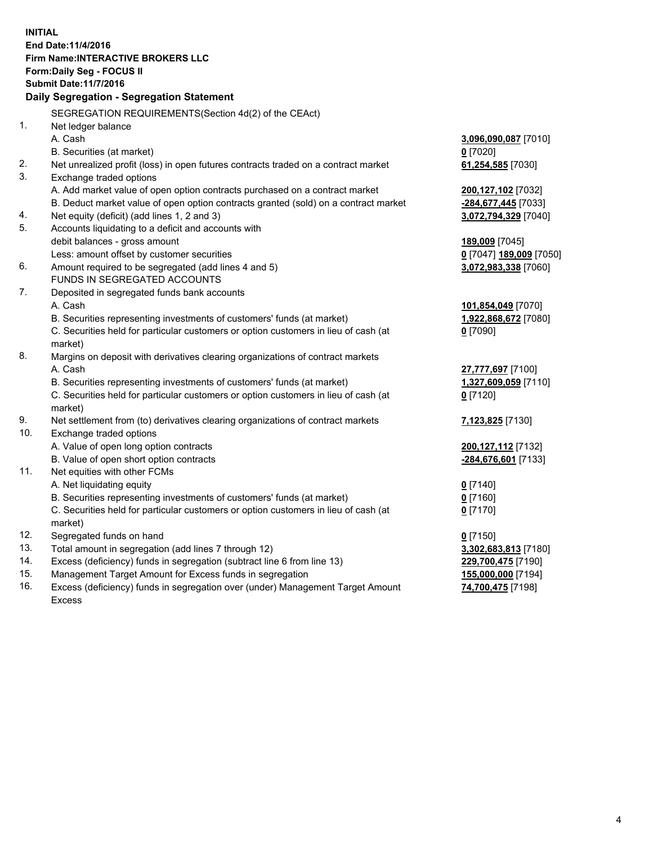**INITIAL End Date:11/4/2016 Firm Name:INTERACTIVE BROKERS LLC Form:Daily Seg - FOCUS II Submit Date:11/7/2016 Daily Segregation - Segregation Statement** SEGREGATION REQUIREMENTS(Section 4d(2) of the CEAct) 1. Net ledger balance A. Cash **3,096,090,087** [7010] B. Securities (at market) **0** [7020] 2. Net unrealized profit (loss) in open futures contracts traded on a contract market **61,254,585** [7030] 3. Exchange traded options A. Add market value of open option contracts purchased on a contract market **200,127,102** [7032] B. Deduct market value of open option contracts granted (sold) on a contract market **-284,677,445** [7033] 4. Net equity (deficit) (add lines 1, 2 and 3) **3,072,794,329** [7040] 5. Accounts liquidating to a deficit and accounts with debit balances - gross amount **189,009** [7045] Less: amount offset by customer securities **0** [7047] **189,009** [7050] 6. Amount required to be segregated (add lines 4 and 5) **3,072,983,338** [7060] FUNDS IN SEGREGATED ACCOUNTS 7. Deposited in segregated funds bank accounts A. Cash **101,854,049** [7070] B. Securities representing investments of customers' funds (at market) **1,922,868,672** [7080] C. Securities held for particular customers or option customers in lieu of cash (at market) **0** [7090] 8. Margins on deposit with derivatives clearing organizations of contract markets A. Cash **27,777,697** [7100] B. Securities representing investments of customers' funds (at market) **1,327,609,059** [7110] C. Securities held for particular customers or option customers in lieu of cash (at market) **0** [7120] 9. Net settlement from (to) derivatives clearing organizations of contract markets **7,123,825** [7130] 10. Exchange traded options A. Value of open long option contracts **200,127,112** [7132] B. Value of open short option contracts **-284,676,601** [7133] 11. Net equities with other FCMs A. Net liquidating equity **0** [7140] B. Securities representing investments of customers' funds (at market) **0** [7160] C. Securities held for particular customers or option customers in lieu of cash (at market) **0** [7170] 12. Segregated funds on hand **0** [7150] 13. Total amount in segregation (add lines 7 through 12) **3,302,683,813** [7180] 14. Excess (deficiency) funds in segregation (subtract line 6 from line 13) **229,700,475** [7190] 15. Management Target Amount for Excess funds in segregation **155,000,000** [7194]

16. Excess (deficiency) funds in segregation over (under) Management Target Amount Excess

**74,700,475** [7198]